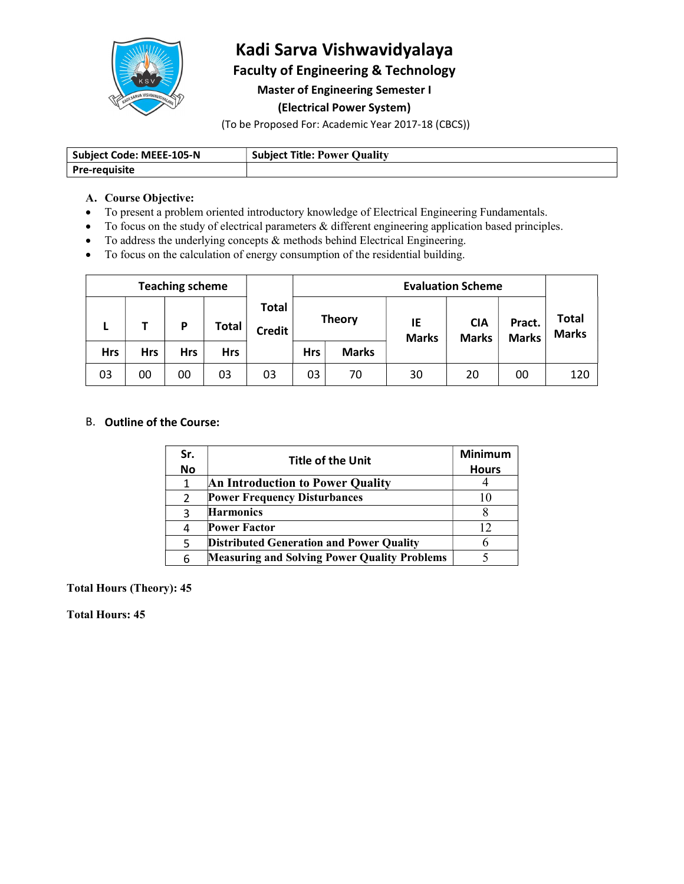

## Kadi Sarva Vishwavidyalaya

Faculty of Engineering & Technology

Master of Engineering Semester I

(Electrical Power System)

(To be Proposed For: Academic Year 2017-18 (CBCS))

| Subject Code: MEEE-105-N | <b>Subject Title: Power Quality</b> |
|--------------------------|-------------------------------------|
| <b>Pre-requisite</b>     |                                     |

## A. Course Objective:

- To present a problem oriented introductory knowledge of Electrical Engineering Fundamentals.
- To focus on the study of electrical parameters & different engineering application based principles.
- $\bullet$  To address the underlying concepts  $\&$  methods behind Electrical Engineering.
- To focus on the calculation of energy consumption of the residential building.

| <b>Teaching scheme</b> |            |            |              | <b>Evaluation Scheme</b>      |            |               |                    |                            |                        |                              |
|------------------------|------------|------------|--------------|-------------------------------|------------|---------------|--------------------|----------------------------|------------------------|------------------------------|
| -                      |            | P          | <b>Total</b> | <b>Total</b><br><b>Credit</b> |            | <b>Theory</b> | IE<br><b>Marks</b> | <b>CIA</b><br><b>Marks</b> | Pract.<br><b>Marks</b> | <b>Total</b><br><b>Marks</b> |
| <b>Hrs</b>             | <b>Hrs</b> | <b>Hrs</b> | <b>Hrs</b>   |                               | <b>Hrs</b> | <b>Marks</b>  |                    |                            |                        |                              |
| 03                     | 00         | 00         | 03           | 03                            | 03         | 70            | 30                 | 20                         | 00                     | 120                          |

#### B. Outline of the Course:

| Sr.       | <b>Title of the Unit</b>                            | <b>Minimum</b> |
|-----------|-----------------------------------------------------|----------------|
| <b>No</b> |                                                     | <b>Hours</b>   |
|           | <b>An Introduction to Power Quality</b>             |                |
|           | <b>Power Frequency Disturbances</b>                 | 10             |
|           | <b>Harmonics</b>                                    |                |
| 4         | <b>Power Factor</b>                                 |                |
|           | <b>Distributed Generation and Power Quality</b>     |                |
| 6         | <b>Measuring and Solving Power Quality Problems</b> |                |

### Total Hours (Theory): 45

Total Hours: 45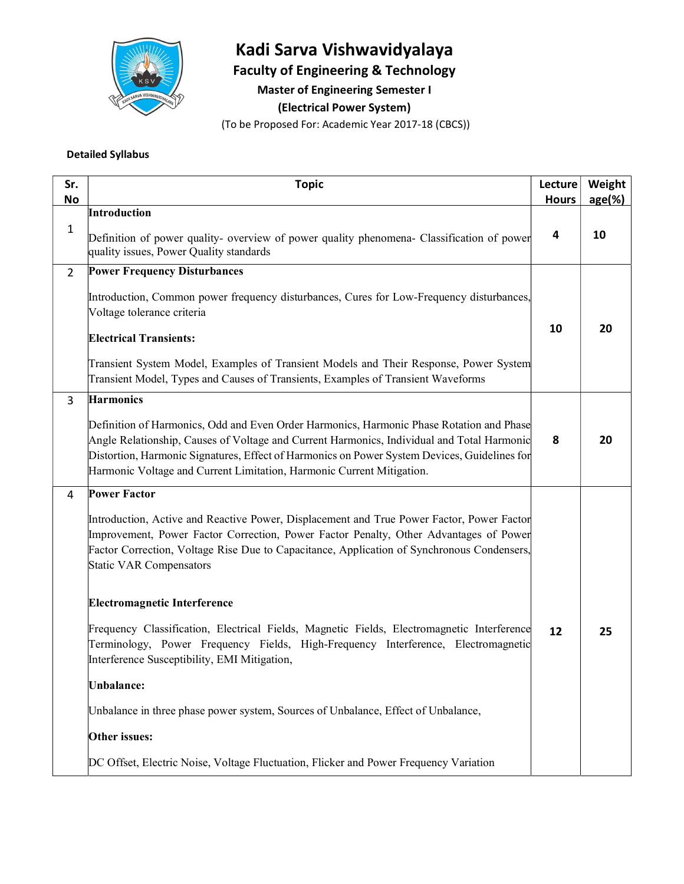

## Kadi Sarva Vishwavidyalaya

Faculty of Engineering & Technology

Master of Engineering Semester I

(Electrical Power System)

(To be Proposed For: Academic Year 2017-18 (CBCS))

### Detailed Syllabus

| Sr.<br>No   | <b>Topic</b>                                                                                                                                                                                                                                                                                                                                                    | Lecture<br><b>Hours</b> | Weight<br>$age(\%)$ |  |
|-------------|-----------------------------------------------------------------------------------------------------------------------------------------------------------------------------------------------------------------------------------------------------------------------------------------------------------------------------------------------------------------|-------------------------|---------------------|--|
|             | Introduction                                                                                                                                                                                                                                                                                                                                                    |                         |                     |  |
| 1           | Definition of power quality- overview of power quality phenomena- Classification of power<br>quality issues, Power Quality standards                                                                                                                                                                                                                            | 4                       | 10                  |  |
| $2^{\circ}$ | <b>Power Frequency Disturbances</b>                                                                                                                                                                                                                                                                                                                             |                         |                     |  |
|             | Introduction, Common power frequency disturbances, Cures for Low-Frequency disturbances,<br>Voltage tolerance criteria                                                                                                                                                                                                                                          |                         |                     |  |
|             | <b>Electrical Transients:</b>                                                                                                                                                                                                                                                                                                                                   | 10                      | 20                  |  |
|             | Transient System Model, Examples of Transient Models and Their Response, Power System<br>Transient Model, Types and Causes of Transients, Examples of Transient Waveforms                                                                                                                                                                                       |                         |                     |  |
| 3           | <b>Harmonics</b>                                                                                                                                                                                                                                                                                                                                                |                         |                     |  |
|             | Definition of Harmonics, Odd and Even Order Harmonics, Harmonic Phase Rotation and Phase<br>Angle Relationship, Causes of Voltage and Current Harmonics, Individual and Total Harmonic<br>Distortion, Harmonic Signatures, Effect of Harmonics on Power System Devices, Guidelines for<br>Harmonic Voltage and Current Limitation, Harmonic Current Mitigation. | 8                       | 20                  |  |
| 4           | <b>Power Factor</b>                                                                                                                                                                                                                                                                                                                                             |                         |                     |  |
|             | Introduction, Active and Reactive Power, Displacement and True Power Factor, Power Factor<br>Improvement, Power Factor Correction, Power Factor Penalty, Other Advantages of Power<br>Factor Correction, Voltage Rise Due to Capacitance, Application of Synchronous Condensers,<br><b>Static VAR Compensators</b>                                              |                         |                     |  |
|             | <b>Electromagnetic Interference</b>                                                                                                                                                                                                                                                                                                                             |                         |                     |  |
|             | Frequency Classification, Electrical Fields, Magnetic Fields, Electromagnetic Interference<br>Terminology, Power Frequency Fields, High-Frequency Interference, Electromagnetic<br>Interference Susceptibility, EMI Mitigation,                                                                                                                                 | 12                      | 25                  |  |
|             | Unbalance:                                                                                                                                                                                                                                                                                                                                                      |                         |                     |  |
|             | Unbalance in three phase power system, Sources of Unbalance, Effect of Unbalance,                                                                                                                                                                                                                                                                               |                         |                     |  |
|             | Other issues:                                                                                                                                                                                                                                                                                                                                                   |                         |                     |  |
|             | DC Offset, Electric Noise, Voltage Fluctuation, Flicker and Power Frequency Variation                                                                                                                                                                                                                                                                           |                         |                     |  |